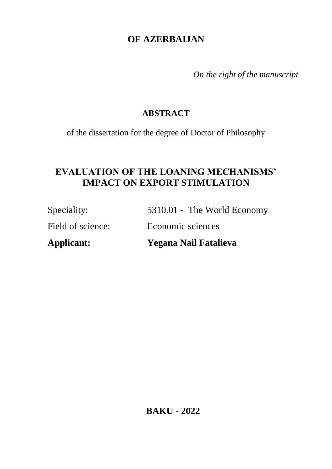# **OF AZERBAIJAN**

*On the right of the manuscript* 

### **ABSTRACT**

of the dissertation for the degree of Doctor of Philosophy

# **EVALUATION OF THE LOANING MECHANISMS' IMPACT ON EXPORT STIMULATION**

| Applicant:        | Yegana Nail Fatalieva       |
|-------------------|-----------------------------|
| Field of science: | Economic sciences           |
| Speciality:       | 5310.01 - The World Economy |

**BAKU - 2022**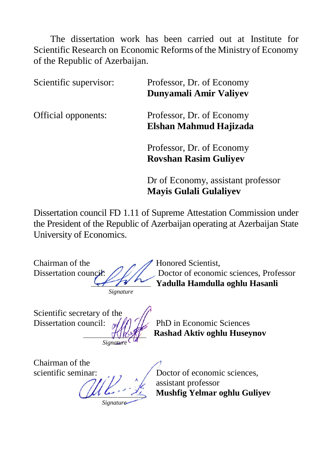The dissertation work has been carried out at Institute for Scientific Research on Economic Reforms of the Ministry of Economy of the Republic of Azerbaijan.

| Scientific supervisor: | Professor, Dr. of Economy<br>Dunyamali Amir Valiyev                 |
|------------------------|---------------------------------------------------------------------|
| Official opponents:    | Professor, Dr. of Economy<br>Elshan Mahmud Hajizada                 |
|                        | Professor, Dr. of Economy<br><b>Rovshan Rasim Guliyev</b>           |
|                        | Dr of Economy, assistant professor<br><b>Mayis Gulali Gulaliyev</b> |

Dissertation council FD 1.11 of Supreme Attestation Commission under the President of the Republic of Azerbaijan operating at Azerbaijan State University of Economics.

Chairman of the  $\overline{A}$  Honored Scientist,  $41.74...$ *Signature*

Dissertation council: 2022 Doctor of economic sciences, Professor  **Yadulla Hamdulla oghlu Hasanli**

Scientific secretary of the Dissertation council:  $\sqrt{M}$  /  $\sqrt{M}$  PhD in Economic Sciences *\_\_\_\_\_\_\_\_\_\_\_\_\_\_\_\_\_\_\_\_* 

 **Rashad Aktiv oghlu Huseynov**

Chairman of the

 $\mu$ *Signati* 

*Signature*

scientific seminar:  $\bigcup_{n=1}^{\infty}$  Doctor of economic sciences, assistant professor  **Mushfig Yelmar oghlu Guliyev**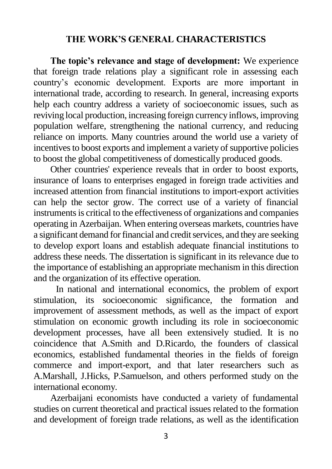#### **THE WORK'S GENERAL CHARACTERISTICS**

**The topic's relevance and stage of development:** We experience that foreign trade relations play a significant role in assessing each country's economic development. Exports are more important in international trade, according to research. In general, increasing exports help each country address a variety of socioeconomic issues, such as reviving local production, increasing foreign currency inflows, improving population welfare, strengthening the national currency, and reducing reliance on imports. Many countries around the world use a variety of incentives to boost exports and implement a variety of supportive policies to boost the global competitiveness of domestically produced goods.

Other countries' experience reveals that in order to boost exports, insurance of loans to enterprises engaged in foreign trade activities and increased attention from financial institutions to import-export activities can help the sector grow. The correct use of a variety of financial instruments is critical to the effectiveness of organizations and companies operating in Azerbaijan. When entering overseas markets, countries have a significant demand for financial and credit services, and they are seeking to develop export loans and establish adequate financial institutions to address these needs. The dissertation is significant in its relevance due to the importance of establishing an appropriate mechanism in this direction and the organization of its effective operation.

In national and international economics, the problem of export stimulation, its socioeconomic significance, the formation and improvement of assessment methods, as well as the impact of export stimulation on economic growth including its role in socioeconomic development processes, have all been extensively studied. It is no coincidence that A.Smith and D.Ricardo, the founders of classical economics, established fundamental theories in the fields of foreign commerce and import-export, and that later researchers such as A.Marshall, J.Hicks, P.Samuelson, and others performed study on the international economy.

Azerbaijani economists have conducted a variety of fundamental studies on current theoretical and practical issues related to the formation and development of foreign trade relations, as well as the identification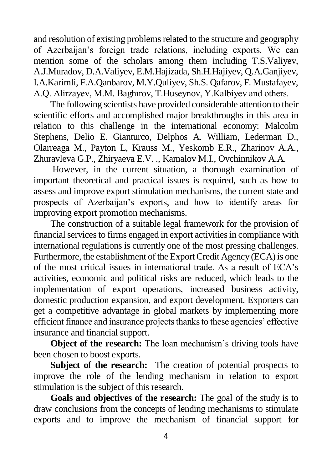and resolution of existing problems related to the structure and geography of Azerbaijan's foreign trade relations, including exports. We can mention some of the scholars among them including T.S.Valiyev, A.J.Muradov, D.A.Valiyev, E.M.Hajizada, Sh.H.Hajiyev, Q.A.Ganjiyev, I.A.Karimli, F.A.Qanbarov, M.Y.Quliyev, Sh.S. Qafarov, F. Mustafayev, A.Q. Alirzayev, M.M. Baghırov, T.Huseynov, Y.Kalbiyev and others.

The following scientists have provided considerable attention to their scientific efforts and accomplished major breakthroughs in this area in relation to this challenge in the international economy: Malcolm Stephens, Delio E. Gianturco, Delphos A. William, Lederman D., Olarreaga M., Payton L, Krauss M., Yeskomb E.R., Zharinov A.A., Zhuravleva G.P., Zhiryaeva E.V. ., Kamalov M.I., Ovchinnikov A.A.

However, in the current situation, a thorough examination of important theoretical and practical issues is required, such as how to assess and improve export stimulation mechanisms, the current state and prospects of Azerbaijan's exports, and how to identify areas for improving export promotion mechanisms.

The construction of a suitable legal framework for the provision of financial services to firms engaged in export activities in compliance with international regulations is currently one of the most pressing challenges. Furthermore, the establishment of the Export Credit Agency (ECA) is one of the most critical issues in international trade. As a result of ECA's activities, economic and political risks are reduced, which leads to the implementation of export operations, increased business activity, domestic production expansion, and export development. Exporters can get a competitive advantage in global markets by implementing more efficient finance and insurance projects thanks to these agencies' effective insurance and financial support.

**Object of the research:** The loan mechanism's driving tools have been chosen to boost exports.

**Subject of the research:** The creation of potential prospects to improve the role of the lending mechanism in relation to export stimulation is the subject of this research.

**Goals and objectives of the research:** The goal of the study is to draw conclusions from the concepts of lending mechanisms to stimulate exports and to improve the mechanism of financial support for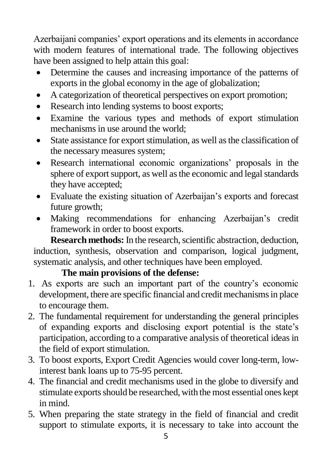Azerbaijani companies' export operations and its elements in accordance with modern features of international trade. The following objectives have been assigned to help attain this goal:

- Determine the causes and increasing importance of the patterns of exports in the global economy in the age of globalization;
- A categorization of theoretical perspectives on export promotion;
- Research into lending systems to boost exports;
- Examine the various types and methods of export stimulation mechanisms in use around the world;
- State assistance for export stimulation, as well as the classification of the necessary measures system;
- Research international economic organizations' proposals in the sphere of export support, as well as the economic and legal standards they have accepted;
- Evaluate the existing situation of Azerbaijan's exports and forecast future growth;
- Making recommendations for enhancing Azerbaijan's credit framework in order to boost exports.

**Research methods:** In the research, scientific abstraction, deduction, induction, synthesis, observation and comparison, logical judgment, systematic analysis, and other techniques have been employed.

## **The main provisions of the defense:**

- 1. As exports are such an important part of the country's economic development, there are specific financial and credit mechanisms in place to encourage them.
- 2. The fundamental requirement for understanding the general principles of expanding exports and disclosing export potential is the state's participation, according to a comparative analysis of theoretical ideas in the field of export stimulation.
- 3. To boost exports, Export Credit Agencies would cover long-term, lowinterest bank loans up to 75-95 percent.
- 4. The financial and credit mechanisms used in the globe to diversify and stimulate exports should be researched, with the most essential ones kept in mind.
- 5. When preparing the state strategy in the field of financial and credit support to stimulate exports, it is necessary to take into account the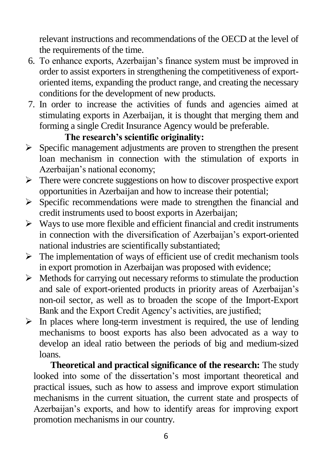relevant instructions and recommendations of the OECD at the level of the requirements of the time.

- 6. To enhance exports, Azerbaijan's finance system must be improved in order to assist exporters in strengthening the competitiveness of exportoriented items, expanding the product range, and creating the necessary conditions for the development of new products.
- 7. In order to increase the activities of funds and agencies aimed at stimulating exports in Azerbaijan, it is thought that merging them and forming a single Credit Insurance Agency would be preferable.

## **The research's scientific originality:**

- $\triangleright$  Specific management adjustments are proven to strengthen the present loan mechanism in connection with the stimulation of exports in Azerbaijan's national economy;
- $\triangleright$  There were concrete suggestions on how to discover prospective export opportunities in Azerbaijan and how to increase their potential;
- $\triangleright$  Specific recommendations were made to strengthen the financial and credit instruments used to boost exports in Azerbaijan;
- $\triangleright$  Ways to use more flexible and efficient financial and credit instruments in connection with the diversification of Azerbaijan's export-oriented national industries are scientifically substantiated;
- $\triangleright$  The implementation of ways of efficient use of credit mechanism tools in export promotion in Azerbaijan was proposed with evidence;
- $\triangleright$  Methods for carrying out necessary reforms to stimulate the production and sale of export-oriented products in priority areas of Azerbaijan's non-oil sector, as well as to broaden the scope of the Import-Export Bank and the Export Credit Agency's activities, are justified;
- $\triangleright$  In places where long-term investment is required, the use of lending mechanisms to boost exports has also been advocated as a way to develop an ideal ratio between the periods of big and medium-sized loans.

**Theoretical and practical significance of the research:** The study looked into some of the dissertation's most important theoretical and practical issues, such as how to assess and improve export stimulation mechanisms in the current situation, the current state and prospects of Azerbaijan's exports, and how to identify areas for improving export promotion mechanisms in our country.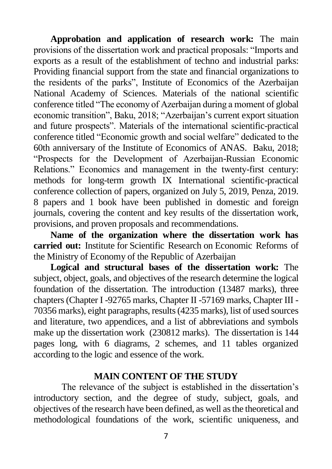**Approbation and application of research work:** The main provisions of the dissertation work and practical proposals: "Imports and exports as a result of the establishment of techno and industrial parks: Providing financial support from the state and financial organizations to the residents of the parks", Institute of Economics of the Azerbaijan National Academy of Sciences. Materials of the national scientific conference titled "The economy of Azerbaijan during a moment of global economic transition", Baku, 2018; "Azerbaijan's current export situation and future prospects". Materials of the international scientific-practical conference titled "Economic growth and social welfare" dedicated to the 60th anniversary of the Institute of Economics of ANAS. Baku, 2018; "Prospects for the Development of Azerbaijan-Russian Economic Relations." Economics and management in the twenty-first century: methods for long-term growth IX International scientific-practical conference collection of papers, organized on July 5, 2019, Penza, 2019. 8 papers and 1 book have been published in domestic and foreign journals, covering the content and key results of the dissertation work, provisions, and proven proposals and recommendations.

**Name of the organization where the dissertation work has carried out:** Institute for Scientific Research on Economic Reforms of the Ministry of Economy of the Republic of Azerbaijan

**Logical and structural bases of the dissertation work:** The subject, object, goals, and objectives of the research determine the logical foundation of the dissertation. The introduction (13487 marks), three chapters (Chapter I -92765 marks, Chapter II -57169 marks, Chapter III - 70356 marks), eight paragraphs, results (4235 marks), list of used sources and literature, two appendices, and a list of abbreviations and symbols make up the dissertation work (230812 marks). The dissertation is 144 pages long, with 6 diagrams, 2 schemes, and 11 tables organized according to the logic and essence of the work.

#### **MAIN CONTENT OF THE STUDY**

The relevance of the subject is established in the dissertation's introductory section, and the degree of study, subject, goals, and objectives of the research have been defined, as well as the theoretical and methodological foundations of the work, scientific uniqueness, and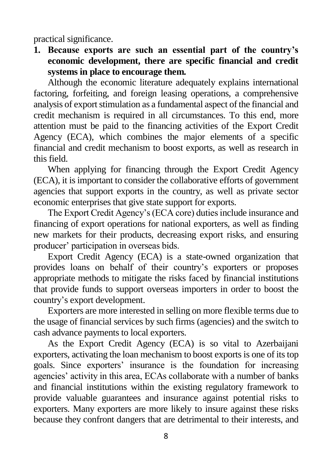practical significance.

**1. Because exports are such an essential part of the country's economic development, there are specific financial and credit systems in place to encourage them.**

Although the economic literature adequately explains international factoring, forfeiting, and foreign leasing operations, a comprehensive analysis of export stimulation as a fundamental aspect of the financial and credit mechanism is required in all circumstances. To this end, more attention must be paid to the financing activities of the Export Credit Agency (ECA), which combines the major elements of a specific financial and credit mechanism to boost exports, as well as research in this field.

When applying for financing through the Export Credit Agency (ECA), it is important to consider the collaborative efforts of government agencies that support exports in the country, as well as private sector economic enterprises that give state support for exports.

The Export Credit Agency's (ECA core) duties include insurance and financing of export operations for national exporters, as well as finding new markets for their products, decreasing export risks, and ensuring producer' participation in overseas bids.

Export Credit Agency (ECA) is a state-owned organization that provides loans on behalf of their country's exporters or proposes appropriate methods to mitigate the risks faced by financial institutions that provide funds to support overseas importers in order to boost the country's export development.

Exporters are more interested in selling on more flexible terms due to the usage of financial services by such firms (agencies) and the switch to cash advance payments to local exporters.

As the Export Credit Agency (ECA) is so vital to Azerbaijani exporters, activating the loan mechanism to boost exports is one of its top goals. Since exporters' insurance is the foundation for increasing agencies' activity in this area, ECAs collaborate with a number of banks and financial institutions within the existing regulatory framework to provide valuable guarantees and insurance against potential risks to exporters. Many exporters are more likely to insure against these risks because they confront dangers that are detrimental to their interests, and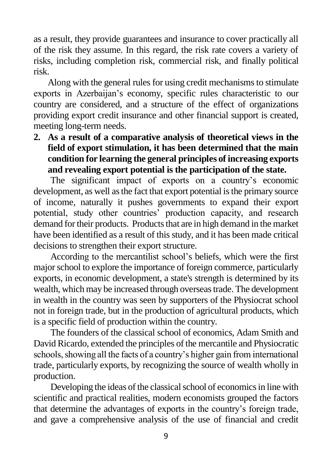as a result, they provide guarantees and insurance to cover practically all of the risk they assume. In this regard, the risk rate covers a variety of risks, including completion risk, commercial risk, and finally political risk.

Along with the general rules for using credit mechanisms to stimulate exports in Azerbaijan's economy, specific rules characteristic to our country are considered, and a structure of the effect of organizations providing export credit insurance and other financial support is created, meeting long-term needs.

**2. As a result of a comparative analysis of theoretical views in the field of export stimulation, it has been determined that the main condition for learning the general principles of increasing exports and revealing export potential is the participation of the state.**

The significant impact of exports on a country's economic development, as well as the fact that export potential is the primary source of income, naturally it pushes governments to expand their export potential, study other countries' production capacity, and research demand for their products. Products that are in high demand in the market have been identified as a result of this study, and it has been made critical decisions to strengthen their export structure.

According to the mercantilist school's beliefs, which were the first major school to explore the importance of foreign commerce, particularly exports, in economic development, a state's strength is determined by its wealth, which may be increased through overseas trade. The development in wealth in the country was seen by supporters of the Physiocrat school not in foreign trade, but in the production of agricultural products, which is a specific field of production within the country.

The founders of the classical school of economics, Adam Smith and David Ricardo, extended the principles of the mercantile and Physiocratic schools, showing all the facts of a country's higher gain from international trade, particularly exports, by recognizing the source of wealth wholly in production.

Developing the ideas of the classical school of economics in line with scientific and practical realities, modern economists grouped the factors that determine the advantages of exports in the country's foreign trade, and gave a comprehensive analysis of the use of financial and credit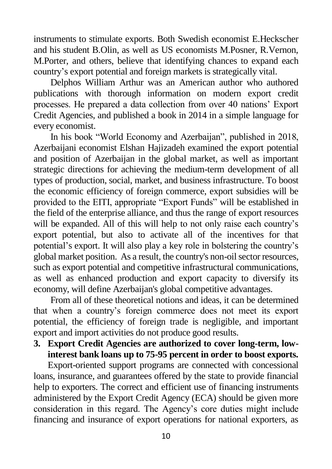instruments to stimulate exports. Both Swedish economist E.Heckscher and his student B.Olin, as well as US economists M.Posner, R.Vernon, M.Porter, and others, believe that identifying chances to expand each country's export potential and foreign markets is strategically vital.

Delphos William Arthur was an American author who authored publications with thorough information on modern export credit processes. He prepared a data collection from over 40 nations' Export Credit Agencies, and published a book in 2014 in a simple language for every economist.

In his book "World Economy and Azerbaijan", published in 2018, Azerbaijani economist Elshan Hajizadeh examined the export potential and position of Azerbaijan in the global market, as well as important strategic directions for achieving the medium-term development of all types of production, social, market, and business infrastructure. To boost the economic efficiency of foreign commerce, export subsidies will be provided to the EITI, appropriate "Export Funds" will be established in the field of the enterprise alliance, and thus the range of export resources will be expanded. All of this will help to not only raise each country's export potential, but also to activate all of the incentives for that potential's export. It will also play a key role in bolstering the country's global market position. As a result, the country's non-oil sector resources, such as export potential and competitive infrastructural communications, as well as enhanced production and export capacity to diversify its economy, will define Azerbaijan's global competitive advantages.

From all of these theoretical notions and ideas, it can be determined that when a country's foreign commerce does not meet its export potential, the efficiency of foreign trade is negligible, and important export and import activities do not produce good results.

#### **3. Export Credit Agencies are authorized to cover long-term, lowinterest bank loans up to 75-95 percent in order to boost exports.**

Export-oriented support programs are connected with concessional loans, insurance, and guarantees offered by the state to provide financial help to exporters. The correct and efficient use of financing instruments administered by the Export Credit Agency (ECA) should be given more consideration in this regard. The Agency's core duties might include financing and insurance of export operations for national exporters, as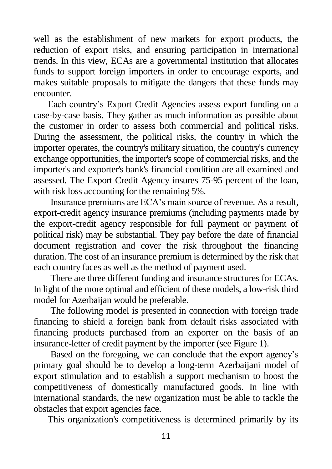well as the establishment of new markets for export products, the reduction of export risks, and ensuring participation in international trends. In this view, ECAs are a governmental institution that allocates funds to support foreign importers in order to encourage exports, and makes suitable proposals to mitigate the dangers that these funds may encounter.

Each country's Export Credit Agencies assess export funding on a case-by-case basis. They gather as much information as possible about the customer in order to assess both commercial and political risks. During the assessment, the political risks, the country in which the importer operates, the country's military situation, the country's currency exchange opportunities, the importer's scope of commercial risks, and the importer's and exporter's bank's financial condition are all examined and assessed. The Export Credit Agency insures 75-95 percent of the loan, with risk loss accounting for the remaining 5%.

Insurance premiums are ECA's main source of revenue. As a result, export-credit agency insurance premiums (including payments made by the export-credit agency responsible for full payment or payment of political risk) may be substantial. They pay before the date of financial document registration and cover the risk throughout the financing duration. The cost of an insurance premium is determined by the risk that each country faces as well as the method of payment used.

There are three different funding and insurance structures for ECAs. In light of the more optimal and efficient of these models, a low-risk third model for Azerbaijan would be preferable.

The following model is presented in connection with foreign trade financing to shield a foreign bank from default risks associated with financing products purchased from an exporter on the basis of an insurance-letter of credit payment by the importer (see Figure 1).

Based on the foregoing, we can conclude that the export agency's primary goal should be to develop a long-term Azerbaijani model of export stimulation and to establish a support mechanism to boost the competitiveness of domestically manufactured goods. In line with international standards, the new organization must be able to tackle the obstacles that export agencies face.

This organization's competitiveness is determined primarily by its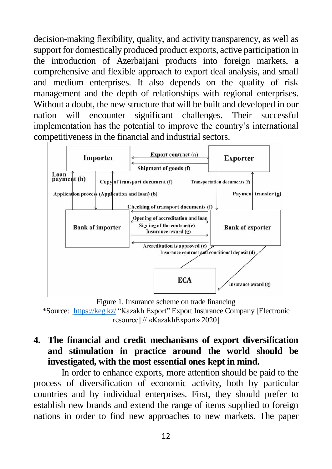decision-making flexibility, quality, and activity transparency, as well as support for domestically produced product exports, active participation in the introduction of Azerbaijani products into foreign markets, a comprehensive and flexible approach to export deal analysis, and small and medium enterprises. It also depends on the quality of risk management and the depth of relationships with regional enterprises. Without a doubt, the new structure that will be built and developed in our nation will encounter significant challenges. Their successful implementation has the potential to improve the country's international competitiveness in the financial and industrial sectors.



Figure 1. Insurance scheme on trade financing

\*Source: [\[https://keg.kz/](https://keg.kz/) "Kazakh Export" Export Insurance Company [Electronic resource] // «KazakhExport» 2020]

## **4. The financial and credit mechanisms of export diversification and stimulation in practice around the world should be investigated, with the most essential ones kept in mind.**

In order to enhance exports, more attention should be paid to the process of diversification of economic activity, both by particular countries and by individual enterprises. First, they should prefer to establish new brands and extend the range of items supplied to foreign nations in order to find new approaches to new markets. The paper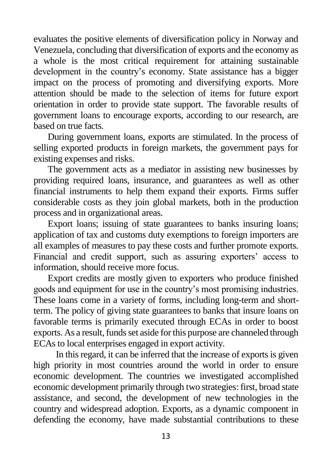evaluates the positive elements of diversification policy in Norway and Venezuela, concluding that diversification of exports and the economy as a whole is the most critical requirement for attaining sustainable development in the country's economy. State assistance has a bigger impact on the process of promoting and diversifying exports. More attention should be made to the selection of items for future export orientation in order to provide state support. The favorable results of government loans to encourage exports, according to our research, are based on true facts.

During government loans, exports are stimulated. In the process of selling exported products in foreign markets, the government pays for existing expenses and risks.

The government acts as a mediator in assisting new businesses by providing required loans, insurance, and guarantees as well as other financial instruments to help them expand their exports. Firms suffer considerable costs as they join global markets, both in the production process and in organizational areas.

Export loans; issuing of state guarantees to banks insuring loans; application of tax and customs duty exemptions to foreign importers are all examples of measures to pay these costs and further promote exports. Financial and credit support, such as assuring exporters' access to information, should receive more focus.

Export credits are mostly given to exporters who produce finished goods and equipment for use in the country's most promising industries. These loans come in a variety of forms, including long-term and shortterm. The policy of giving state guarantees to banks that insure loans on favorable terms is primarily executed through ECAs in order to boost exports. As a result, funds set aside for this purpose are channeled through ECAs to local enterprises engaged in export activity.

In this regard, it can be inferred that the increase of exports is given high priority in most countries around the world in order to ensure economic development. The countries we investigated accomplished economic development primarily through two strategies: first, broad state assistance, and second, the development of new technologies in the country and widespread adoption. Exports, as a dynamic component in defending the economy, have made substantial contributions to these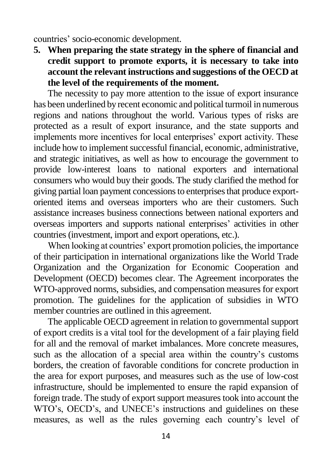countries' socio-economic development.

**5. When preparing the state strategy in the sphere of financial and credit support to promote exports, it is necessary to take into account the relevant instructions and suggestions of the OECD at the level of the requirements of the moment.**

The necessity to pay more attention to the issue of export insurance has been underlined by recent economic and political turmoil in numerous regions and nations throughout the world. Various types of risks are protected as a result of export insurance, and the state supports and implements more incentives for local enterprises' export activity. These include how to implement successful financial, economic, administrative, and strategic initiatives, as well as how to encourage the government to provide low-interest loans to national exporters and international consumers who would buy their goods. The study clarified the method for giving partial loan payment concessions to enterprises that produce exportoriented items and overseas importers who are their customers. Such assistance increases business connections between national exporters and overseas importers and supports national enterprises' activities in other countries (investment, import and export operations, etc.).

When looking at countries' export promotion policies, the importance of their participation in international organizations like the World Trade Organization and the Organization for Economic Cooperation and Development (OECD) becomes clear. The Agreement incorporates the WTO-approved norms, subsidies, and compensation measures for export promotion. The guidelines for the application of subsidies in WTO member countries are outlined in this agreement.

The applicable OECD agreement in relation to governmental support of export credits is a vital tool for the development of a fair playing field for all and the removal of market imbalances. More concrete measures, such as the allocation of a special area within the country's customs borders, the creation of favorable conditions for concrete production in the area for export purposes, and measures such as the use of low-cost infrastructure, should be implemented to ensure the rapid expansion of foreign trade. The study of export support measures took into account the WTO's, OECD's, and UNECE's instructions and guidelines on these measures, as well as the rules governing each country's level of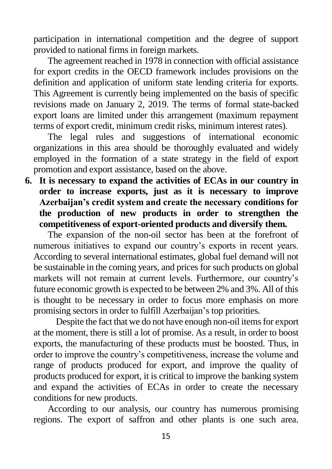participation in international competition and the degree of support provided to national firms in foreign markets.

The agreement reached in 1978 in connection with official assistance for export credits in the OECD framework includes provisions on the definition and application of uniform state lending criteria for exports. This Agreement is currently being implemented on the basis of specific revisions made on January 2, 2019. The terms of formal state-backed export loans are limited under this arrangement (maximum repayment terms of export credit, minimum credit risks, minimum interest rates).

The legal rules and suggestions of international economic organizations in this area should be thoroughly evaluated and widely employed in the formation of a state strategy in the field of export promotion and export assistance, based on the above.

**6. It is necessary to expand the activities of ECAs in our country in order to increase exports, just as it is necessary to improve Azerbaijan's credit system and create the necessary conditions for the production of new products in order to strengthen the competitiveness of export-oriented products and diversify them.** 

The expansion of the non-oil sector has been at the forefront of numerous initiatives to expand our country's exports in recent years. According to several international estimates, global fuel demand will not be sustainable in the coming years, and prices for such products on global markets will not remain at current levels. Furthermore, our country's future economic growth is expected to be between 2% and 3%. All of this is thought to be necessary in order to focus more emphasis on more promising sectors in order to fulfill Azerbaijan's top priorities.

Despite the fact that we do not have enough non-oil items for export at the moment, there is still a lot of promise. As a result, in order to boost exports, the manufacturing of these products must be boosted. Thus, in order to improve the country's competitiveness, increase the volume and range of products produced for export, and improve the quality of products produced for export, it is critical to improve the banking system and expand the activities of ECAs in order to create the necessary conditions for new products.

According to our analysis, our country has numerous promising regions. The export of saffron and other plants is one such area.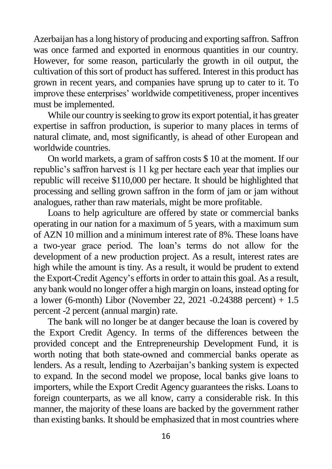Azerbaijan has a long history of producing and exporting saffron. Saffron was once farmed and exported in enormous quantities in our country. However, for some reason, particularly the growth in oil output, the cultivation of this sort of product has suffered. Interest in this product has grown in recent years, and companies have sprung up to cater to it. To improve these enterprises' worldwide competitiveness, proper incentives must be implemented.

While our country is seeking to grow its export potential, it has greater expertise in saffron production, is superior to many places in terms of natural climate, and, most significantly, is ahead of other European and worldwide countries.

On world markets, a gram of saffron costs \$ 10 at the moment. If our republic's saffron harvest is 11 kg per hectare each year that implies our republic will receive \$110,000 per hectare. It should be highlighted that processing and selling grown saffron in the form of jam or jam without analogues, rather than raw materials, might be more profitable.

Loans to help agriculture are offered by state or commercial banks operating in our nation for a maximum of 5 years, with a maximum sum of AZN 10 million and a minimum interest rate of 8%. These loans have a two-year grace period. The loan's terms do not allow for the development of a new production project. As a result, interest rates are high while the amount is tiny. As a result, it would be prudent to extend the Export-Credit Agency's efforts in order to attain this goal. As a result, any bank would no longer offer a high margin on loans, instead opting for a lower (6-month) Libor (November 22, 2021 -0.24388 percent) + 1.5 percent -2 percent (annual margin) rate.

The bank will no longer be at danger because the loan is covered by the Export Credit Agency. In terms of the differences between the provided concept and the Entrepreneurship Development Fund, it is worth noting that both state-owned and commercial banks operate as lenders. As a result, lending to Azerbaijan's banking system is expected to expand. In the second model we propose, local banks give loans to importers, while the Export Credit Agency guarantees the risks. Loans to foreign counterparts, as we all know, carry a considerable risk. In this manner, the majority of these loans are backed by the government rather than existing banks. It should be emphasized that in most countries where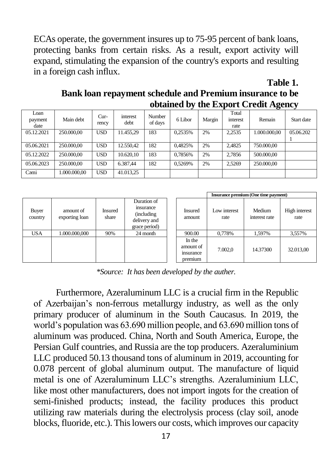ECAs operate, the government insures up to 75-95 percent of bank loans, protecting banks from certain risks. As a result, export activity will expand, stimulating the expansion of the country's exports and resulting in a foreign cash influx.

**Table 1.**

| Bank loan repayment schedule and Premium insurance to be |
|----------------------------------------------------------|
| obtained by the Export Credit Agency                     |

| Loan<br>payment<br>date | Main debt    | $Cur-$<br>rency | interest<br>debt | Number<br>of days | 6 Libor | Margin | Total<br>interest<br>rate | Remain       | Start date |
|-------------------------|--------------|-----------------|------------------|-------------------|---------|--------|---------------------------|--------------|------------|
| 05.12.2021              | 250,000,00   | <b>USD</b>      | 11.455.29        | 183               | 0.2535% | 2%     | 2.2535                    | 1.000.000.00 | 05.06.202  |
|                         |              |                 |                  |                   |         |        |                           |              |            |
| 05.06.2021              | 250,000,00   | <b>USD</b>      | 12.550.42        | 182               | 0.4825% | 2%     | 2.4825                    | 750,000,00   |            |
| 05.12.2022              | 250,000,00   | <b>USD</b>      | 10.620.10        | 183               | 0.7856% | 2%     | 2.7856                    | 500,000,00   |            |
| 05.06.2023              | 250,000,00   | <b>USD</b>      | 6.387,44         | 182               | 0.5269% | 2%     | 2.5269                    | 250,000,00   |            |
| Cami                    | 1.000.000.00 | <b>USD</b>      | 41.013.25        |                   |         |        |                           |              |            |

|                  |                             |                         |                                                                          |  |                                            | Insurance premium (One time payment) |                         |                       |
|------------------|-----------------------------|-------------------------|--------------------------------------------------------------------------|--|--------------------------------------------|--------------------------------------|-------------------------|-----------------------|
| Buyer<br>country | amount of<br>exporting loan | <b>Insured</b><br>share | Duration of<br>insurance<br>(including)<br>delivery and<br>grace period) |  | Insured<br>amount                          | Low interest<br>rate                 | Medium<br>interest rate | High interest<br>rate |
| <b>USA</b>       | 1.000.000.000               | 90%                     | 24 month                                                                 |  | 900.00                                     | 0,778%                               | 1,597%                  | 3,557%                |
|                  |                             |                         |                                                                          |  | In the<br>amount of<br>msurance<br>premium | 7.002.0                              | 14.37300                | 32.013,00             |

*\*Source: It has been developed by the auther.*

Furthermore, Azeraluminum LLC is a crucial firm in the Republic of Azerbaijan's non-ferrous metallurgy industry, as well as the only primary producer of aluminum in the South Caucasus. In 2019, the world's population was 63.690 million people, and 63.690 million tons of aluminum was produced. China, North and South America, Europe, the Persian Gulf countries, and Russia are the top producers. Azeraluminium LLC produced 50.13 thousand tons of aluminum in 2019, accounting for 0.078 percent of global aluminum output. The manufacture of liquid metal is one of Azeraluminum LLC's strengths. Azeraluminium LLC, like most other manufacturers, does not import ingots for the creation of semi-finished products; instead, the facility produces this product utilizing raw materials during the electrolysis process (clay soil, anode blocks, fluoride, etc.). This lowers our costs, which improves our capacity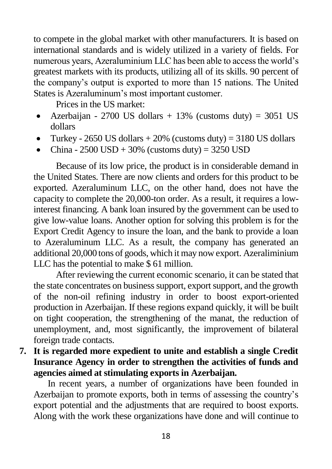to compete in the global market with other manufacturers. It is based on international standards and is widely utilized in a variety of fields. For numerous years, Azeraluminium LLC has been able to access the world's greatest markets with its products, utilizing all of its skills. 90 percent of the company's output is exported to more than 15 nations. The United States is Azeraluminum's most important customer.

Prices in the US market:

- Azerbaijan 2700 US dollars + 13% (customs duty) = 3051 US dollars
- Turkey 2650 US dollars  $+20\%$  (customs duty) = 3180 US dollars
- China  $2500$  USD +  $30\%$  (customs duty) =  $3250$  USD

Because of its low price, the product is in considerable demand in the United States. There are now clients and orders for this product to be exported. Azeraluminum LLC, on the other hand, does not have the capacity to complete the 20,000-ton order. As a result, it requires a lowinterest financing. A bank loan insured by the government can be used to give low-value loans. Another option for solving this problem is for the Export Credit Agency to insure the loan, and the bank to provide a loan to Azeraluminum LLC. As a result, the company has generated an additional 20,000 tons of goods, which it may now export. Azeraliminium LLC has the potential to make \$ 61 million.

After reviewing the current economic scenario, it can be stated that the state concentrates on business support, export support, and the growth of the non-oil refining industry in order to boost export-oriented production in Azerbaijan. If these regions expand quickly, it will be built on tight cooperation, the strengthening of the manat, the reduction of unemployment, and, most significantly, the improvement of bilateral foreign trade contacts.

**7. It is regarded more expedient to unite and establish a single Credit Insurance Agency in order to strengthen the activities of funds and agencies aimed at stimulating exports in Azerbaijan.** 

In recent years, a number of organizations have been founded in Azerbaijan to promote exports, both in terms of assessing the country's export potential and the adjustments that are required to boost exports. Along with the work these organizations have done and will continue to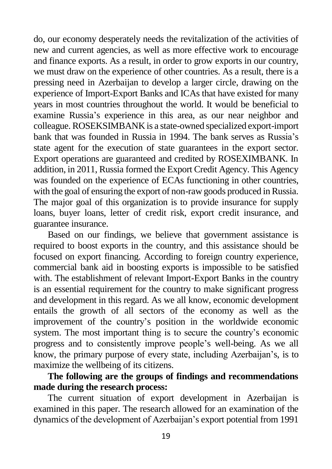do, our economy desperately needs the revitalization of the activities of new and current agencies, as well as more effective work to encourage and finance exports. As a result, in order to grow exports in our country, we must draw on the experience of other countries. As a result, there is a pressing need in Azerbaijan to develop a larger circle, drawing on the experience of Import-Export Banks and ICAs that have existed for many years in most countries throughout the world. It would be beneficial to examine Russia's experience in this area, as our near neighbor and colleague. ROSEKSIMBANK is a state-owned specialized export-import bank that was founded in Russia in 1994. The bank serves as Russia's state agent for the execution of state guarantees in the export sector. Export operations are guaranteed and credited by ROSEXIMBANK. In addition, in 2011, Russia formed the Export Credit Agency. This Agency was founded on the experience of ECAs functioning in other countries, with the goal of ensuring the export of non-raw goods produced in Russia. The major goal of this organization is to provide insurance for supply loans, buyer loans, letter of credit risk, export credit insurance, and guarantee insurance.

Based on our findings, we believe that government assistance is required to boost exports in the country, and this assistance should be focused on export financing. According to foreign country experience, commercial bank aid in boosting exports is impossible to be satisfied with. The establishment of relevant Import-Export Banks in the country is an essential requirement for the country to make significant progress and development in this regard. As we all know, economic development entails the growth of all sectors of the economy as well as the improvement of the country's position in the worldwide economic system. The most important thing is to secure the country's economic progress and to consistently improve people's well-being. As we all know, the primary purpose of every state, including Azerbaijan's, is to maximize the wellbeing of its citizens.

## **The following are the groups of findings and recommendations made during the research process:**

The current situation of export development in Azerbaijan is examined in this paper. The research allowed for an examination of the dynamics of the development of Azerbaijan's export potential from 1991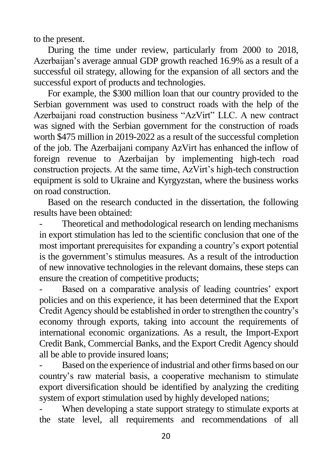to the present.

During the time under review, particularly from 2000 to 2018, Azerbaijan's average annual GDP growth reached 16.9% as a result of a successful oil strategy, allowing for the expansion of all sectors and the successful export of products and technologies.

For example, the \$300 million loan that our country provided to the Serbian government was used to construct roads with the help of the Azerbaijani road construction business "AzVirt" LLC. A new contract was signed with the Serbian government for the construction of roads worth \$475 million in 2019-2022 as a result of the successful completion of the job. The Azerbaijani company AzVirt has enhanced the inflow of foreign revenue to Azerbaijan by implementing high-tech road construction projects. At the same time, AzVirt's high-tech construction equipment is sold to Ukraine and Kyrgyzstan, where the business works on road construction.

Based on the research conducted in the dissertation, the following results have been obtained:

Theoretical and methodological research on lending mechanisms in export stimulation has led to the scientific conclusion that one of the most important prerequisites for expanding a country's export potential is the government's stimulus measures. As a result of the introduction of new innovative technologies in the relevant domains, these steps can ensure the creation of competitive products;

Based on a comparative analysis of leading countries' export policies and on this experience, it has been determined that the Export Credit Agency should be established in order to strengthen the country's economy through exports, taking into account the requirements of international economic organizations. As a result, the Import-Export Credit Bank, Commercial Banks, and the Export Credit Agency should all be able to provide insured loans;

Based on the experience of industrial and other firms based on our country's raw material basis, a cooperative mechanism to stimulate export diversification should be identified by analyzing the crediting system of export stimulation used by highly developed nations;

When developing a state support strategy to stimulate exports at the state level, all requirements and recommendations of all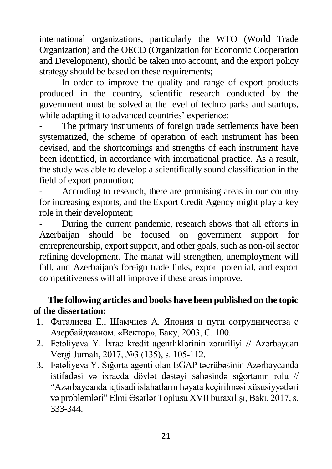international organizations, particularly the WTO (World Trade Organization) and the OECD (Organization for Economic Cooperation and Development), should be taken into account, and the export policy strategy should be based on these requirements;

In order to improve the quality and range of export products produced in the country, scientific research conducted by the government must be solved at the level of techno parks and startups, while adapting it to advanced countries' experience;

The primary instruments of foreign trade settlements have been systematized, the scheme of operation of each instrument has been devised, and the shortcomings and strengths of each instrument have been identified, in accordance with international practice. As a result, the study was able to develop a scientifically sound classification in the field of export promotion;

According to research, there are promising areas in our country for increasing exports, and the Export Credit Agency might play a key role in their development;

- During the current pandemic, research shows that all efforts in Azerbaijan should be focused on government support for entrepreneurship, export support, and other goals, such as non-oil sector refining development. The manat will strengthen, unemployment will fall, and Azerbaijan's foreign trade links, export potential, and export competitiveness will all improve if these areas improve.

# **The following articles and books have been published on the topic of the dissertation:**

- 1. Фаталиева Е., Шамчиев А. Япония и пути сотрудничества с Азербайджаном. «Вектор», Баку, 2003, С. 100.
- 2. Fətəliyeva Y. İxrac kredit agentliklərinin zəruriliyi // Azərbaycan Vergi Jurnalı, 2017, №3 (135), s. 105-112.
- 3. Fətəliyeva Y. Sığorta agenti olan EGAP təcrübəsinin Azərbaycanda istifadəsi və ixracda dövlət dəstəyi sahəsində sığortanın rolu // "Azərbaycanda iqtisadi islahatların həyata keçirilməsi xüsusiyyətləri və problemləri" Elmi Əsərlər Toplusu XVII buraxılışı, Bakı, 2017, s. 333-344.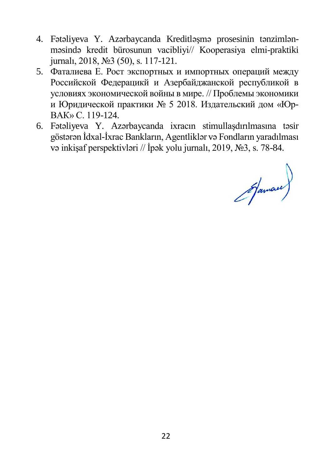- 4. Fətəliyeva Y. Azərbaycanda Kreditləşmə prosesinin tənzimlənməsində kredit bürosunun vacibliyi// Kooperasiya elmi-praktiki jurnalı, 2018, №3 (50), s. 117-121.
- 5. Фаталиева Е. Рост экспортных и импортных операций между Российской Федерацикй и Азербайджанской республикой в условиях экономической войны в мире. // Проблемы экономики и Юридической практики № 5 2018. Издательский дом «Юр-ВАК» С. 119-124.
- 6. Fətəliyeva Y. Azərbaycanda ixracın stimullaşdırılmasına təsir göstərən İdxal-İxrac Bankların, Agentliklər və Fondların yaradılması və inkişaf perspektivləri // İpək yolu jurnalı, 2019, №3, s. 78-84.

Jaman)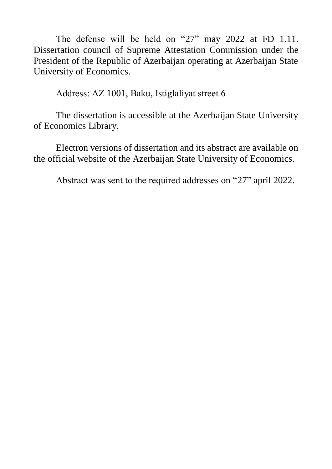The defense will be held on "27" may 2022 at FD 1.11. Dissertation council of Supreme Attestation Commission under the President of the Republic of Azerbaijan operating at Azerbaijan State University of Economics.

Address: AZ 1001, Baku, Istiglaliyаt street 6

The dissertation is accessible at the Azerbaijan State University of Economics Library.

Electron versions of dissertation and its abstract are available on the official website of the Azerbaijan State University of Economics.

Abstract was sent to the required addresses on "27" april 2022.